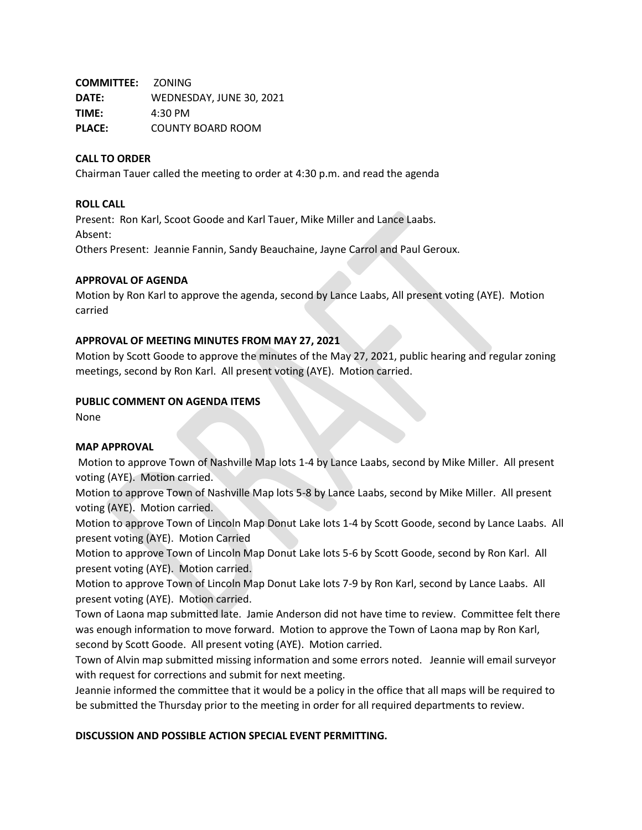**COMMITTEE:** ZONING **DATE:** WEDNESDAY, JUNE 30, 2021 **TIME:** 4:30 PM **PLACE:** COUNTY BOARD ROOM

### **CALL TO ORDER**

Chairman Tauer called the meeting to order at 4:30 p.m. and read the agenda

#### **ROLL CALL**

Present: Ron Karl, Scoot Goode and Karl Tauer, Mike Miller and Lance Laabs. Absent: Others Present: Jeannie Fannin, Sandy Beauchaine, Jayne Carrol and Paul Geroux.

### **APPROVAL OF AGENDA**

Motion by Ron Karl to approve the agenda, second by Lance Laabs, All present voting (AYE). Motion carried

### **APPROVAL OF MEETING MINUTES FROM MAY 27, 2021**

Motion by Scott Goode to approve the minutes of the May 27, 2021, public hearing and regular zoning meetings, second by Ron Karl. All present voting (AYE). Motion carried.

### **PUBLIC COMMENT ON AGENDA ITEMS**

None

# **MAP APPROVAL**

Motion to approve Town of Nashville Map lots 1-4 by Lance Laabs, second by Mike Miller. All present voting (AYE). Motion carried.

Motion to approve Town of Nashville Map lots 5-8 by Lance Laabs, second by Mike Miller. All present voting (AYE). Motion carried.

Motion to approve Town of Lincoln Map Donut Lake lots 1-4 by Scott Goode, second by Lance Laabs. All present voting (AYE). Motion Carried

Motion to approve Town of Lincoln Map Donut Lake lots 5-6 by Scott Goode, second by Ron Karl. All present voting (AYE). Motion carried.

Motion to approve Town of Lincoln Map Donut Lake lots 7-9 by Ron Karl, second by Lance Laabs. All present voting (AYE). Motion carried.

Town of Laona map submitted late. Jamie Anderson did not have time to review. Committee felt there was enough information to move forward. Motion to approve the Town of Laona map by Ron Karl, second by Scott Goode. All present voting (AYE). Motion carried.

Town of Alvin map submitted missing information and some errors noted. Jeannie will email surveyor with request for corrections and submit for next meeting.

Jeannie informed the committee that it would be a policy in the office that all maps will be required to be submitted the Thursday prior to the meeting in order for all required departments to review.

#### **DISCUSSION AND POSSIBLE ACTION SPECIAL EVENT PERMITTING.**